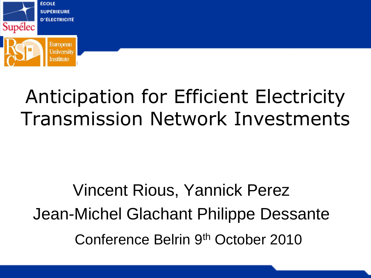

# Anticipation for Efficient Electricity Transmission Network Investments

# Vincent Rious, Yannick Perez Jean-Michel Glachant Philippe Dessante Conference Belrin 9th October 2010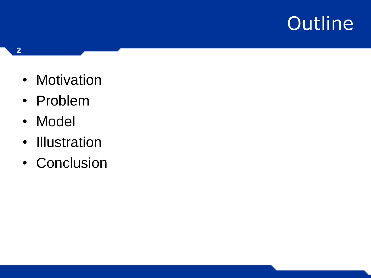- Motivation
- Problem
- Model
- Illustration
- Conclusion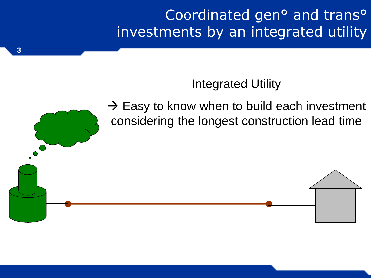Coordinated gen° and trans° investments by an integrated utility

#### Integrated Utility

 $\rightarrow$  Easy to know when to build each investment considering the longest construction lead time

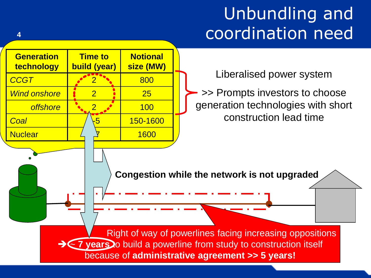### Unbundling and coordination need

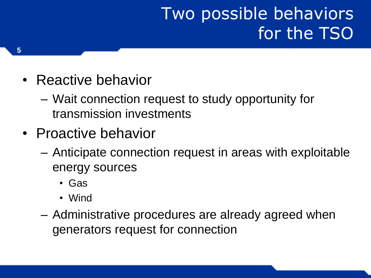### Two possible behaviors for the TSO

- Reactive behavior
	- Wait connection request to study opportunity for transmission investments
- Proactive behavior
	- Anticipate connection request in areas with exploitable energy sources
		- Gas
		- Wind
	- Administrative procedures are already agreed when generators request for connection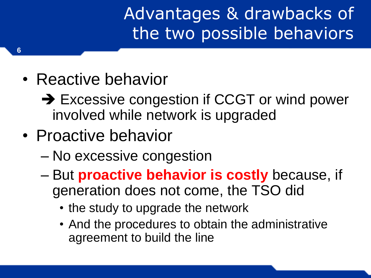Advantages & drawbacks of the two possible behaviors

- Reactive behavior
	- → Excessive congestion if CCGT or wind power involved while network is upgraded
- Proactive behavior
	- No excessive congestion
	- But **proactive behavior is costly** because, if generation does not come, the TSO did
		- the study to upgrade the network
		- And the procedures to obtain the administrative agreement to build the line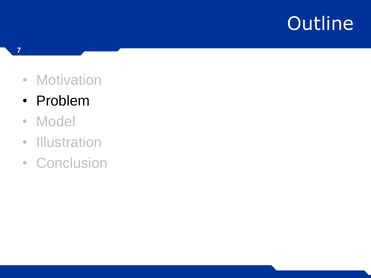- Motivation
- Problem
- Model
- Illustration
- Conclusion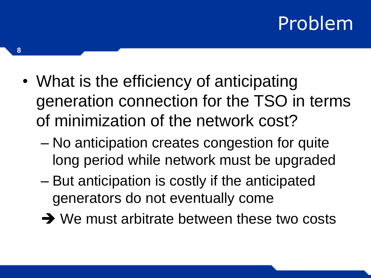### Problem

- What is the efficiency of anticipating generation connection for the TSO in terms of minimization of the network cost?
	- No anticipation creates congestion for quite long period while network must be upgraded
	- But anticipation is costly if the anticipated generators do not eventually come
	- $\rightarrow$  We must arbitrate between these two costs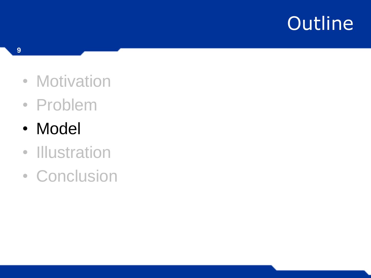- Motivation
- Problem
- Model
- Illustration<br>• Conclusion
-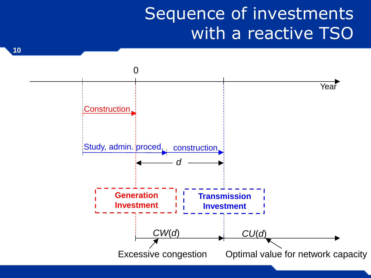#### Sequence of investments with a reactive TSO

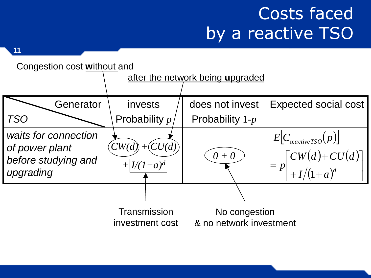### Costs faced by a reactive TSO

**11**



investment cost

No congestion & no network investment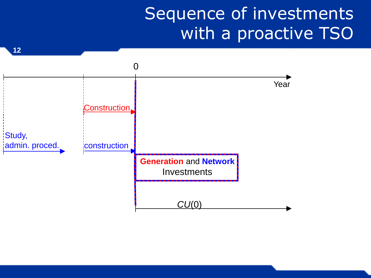#### Sequence of investments with a proactive TSO

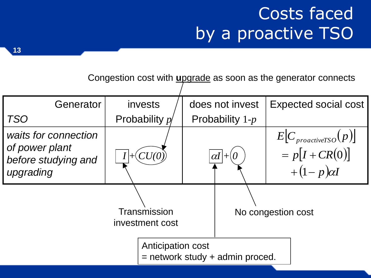### Costs faced by a proactive TSO

Congestion cost with **u**pgrade as soon as the generator connects

| Generator                                                                  | invests                         | does not invest                     | <b>Expected social cost</b>                                              |  |
|----------------------------------------------------------------------------|---------------------------------|-------------------------------------|--------------------------------------------------------------------------|--|
| <b>TSO</b>                                                                 | Probability $p$                 | Probability $1-p$                   |                                                                          |  |
| waits for connection<br>of power plant<br>before studying and<br>upgrading |                                 | $\alpha$ l                          | $E[C_{\text{proactive} TSO}(p)]$<br>$= p[I + CR(0)]$<br>$+(1-p)\alpha I$ |  |
|                                                                            | Transmission<br>investment cost |                                     | No congestion cost                                                       |  |
|                                                                            | Anticipation cost               | $=$ network study $+$ admin proced. |                                                                          |  |

**13**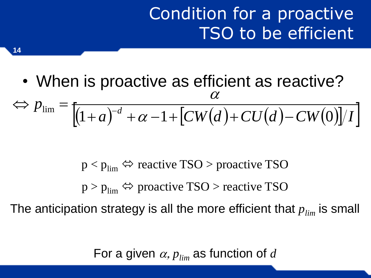#### Condition for a proactive TSO to be efficient

• When is proactive as efficient as reactive?  $|(1+a)^{-d} + \alpha - 1 + |CW(d) + CU(d) - CW(0)|/I|$  $p_{\text{lim}} = \frac{1}{(1 + e)^{-d}}$  $\lim_{h \to 0} \int [1+a)^{-d} + \alpha - 1 + [CW(d) + CU(d) - CW(0)]$  $\Leftrightarrow p_{\lim} = \frac{1}{(1+\epsilon)^{-1}}$  $\alpha$  $\alpha$ 

 $p < p_{\text{lim}} \Leftrightarrow$  reactive TSO > proactive TSO  $p > p_{\text{lim}} \Leftrightarrow$  proactive TSO > reactive TSO The anticipation strategy is all the more efficient that  $p_{lim}$  is small

For a given  $\alpha$ ,  $p_{lim}$  as function of  $d$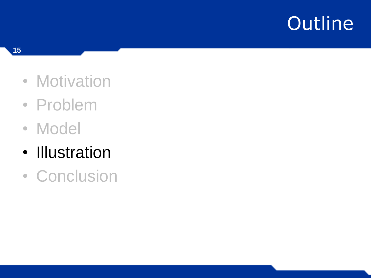- Motivation
- Problem
- Model
- Illustration<br>• Conclusion
-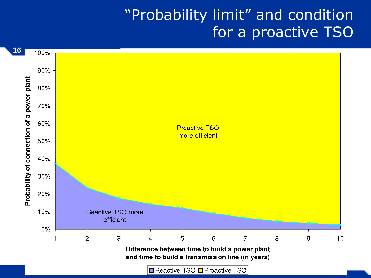#### "Probability limit" and condition for a proactive TSO

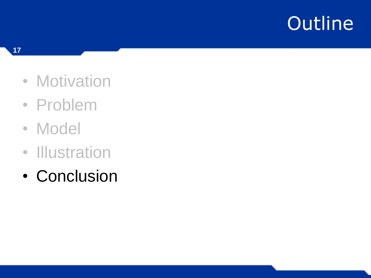- Motivation
- Problem
- Model
- 
- Illustration<br>• Conclusion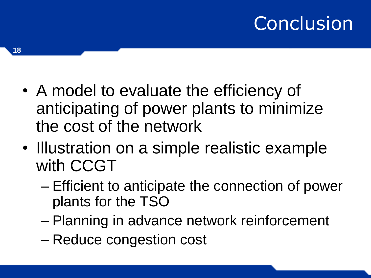# Conclusion

- A model to evaluate the efficiency of anticipating of power plants to minimize the cost of the network
- Illustration on a simple realistic example with CCGT
	- Efficient to anticipate the connection of power plants for the TSO
	- Planning in advance network reinforcement
	- Reduce congestion cost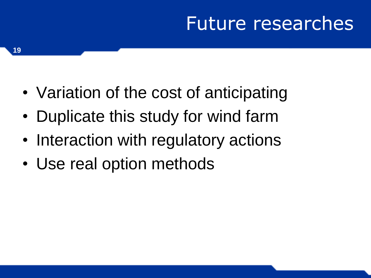### Future researches

- Variation of the cost of anticipating
- Duplicate this study for wind farm
- Interaction with regulatory actions
- Use real option methods